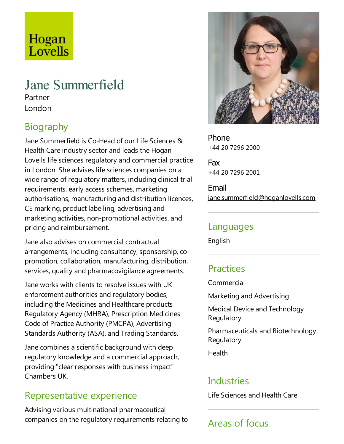# Hogan Lovells

# Jane Summerfield

Partner London

## Biography

Jane Summerfield is Co-Head of our Life Sciences & Health Care industry sector and leads the Hogan Lovells life sciences regulatory and commercial practice in London. She advises life sciences companies on a wide range of regulatory matters, including clinical trial requirements, early access schemes, marketing authorisations, manufacturing and distribution licences, CE marking, product labelling, advertising and marketing activities, non-promotional activities, and pricing and reimbursement.

Jane also advises on commercial contractual arrangements, including consultancy, sponsorship, copromotion, collaboration, manufacturing, distribution, services, quality and pharmacovigilance agreements.

Jane works with clients to resolve issues with UK enforcement authorities and regulatory bodies, including the Medicines and Healthcare products Regulatory Agency (MHRA), Prescription Medicines Code of Practice Authority (PMCPA), Advertising Standards Authority (ASA), and Trading Standards.

Jane combines a scientific background with deep regulatory knowledge and a commercial approach, providing "clear responses with business impact" Chambers UK.

### Representative experience

Advising various multinational pharmaceutical companies on the regulatory requirements relating to



Phone +44 20 7296 2000

Fax +44 20 7296 2001

Email jane.summerfield@hoganlovells.com

#### Languages

English

### **Practices**

Commercial

Marketing and Advertising

Medical Device and Technology **Regulatory** 

Pharmaceuticals and Biotechnology **Regulatory** 

**Health** 

### Industries

Life Sciences and Health Care

## Areas of focus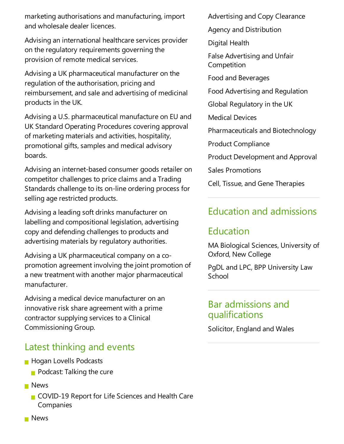marketing authorisations and manufacturing, import and wholesale dealer licences.

Advising an international healthcare services provider on the regulatory requirements governing the provision of remote medical services.

Advising a UK pharmaceutical manufacturer on the regulation of the authorisation, pricing and reimbursement, and sale and advertising of medicinal products in the UK.

Advising a U.S. pharmaceutical manufacture on EU and UK Standard Operating Procedures covering approval of marketing materials and activities, hospitality, promotional gifts, samples and medical advisory boards.

Advising an internet-based consumer goods retailer on competitor challenges to price claims and a Trading Standards challenge to its on-line ordering process for selling age restricted products.

Advising aleading soft drinks manufacturer on labelling and compositional legislation, advertising copy and defending challenges to products and advertising materials by regulatory authorities.

Advising a UK pharmaceutical company on a copromotion agreement involving the joint promotion of a new treatment with another major pharmaceutical manufacturer.

Advising a medical device manufacturer on an innovative risk share agreement with a prime contractor supplying services to a Clinical Commissioning Group.

### Latest thinking and events

- **Hogan Lovells Podcasts** 
	- $\blacksquare$  Podcast: Talking the cure
- **News** 
	- COVID-19 Report for Life Sciences and Health Care Companies

Advertising and Copy Clearance

Agency and Distribution

Digital Health

False Advertising and Unfair Competition

Food and Beverages

Food Advertising and Regulation

Global Regulatory in the UK

Medical Devices

Pharmaceuticals and Biotechnology

Product Compliance

Product Development and Approval

Sales Promotions

Cell, Tissue, and Gene Therapies

### Education and admissions

### Education

MA Biological Sciences, University of Oxford, New College

PgDL and LPC, BPP University Law **School** 

#### Bar admissions and qualifications

Solicitor, England and Wales

**News**